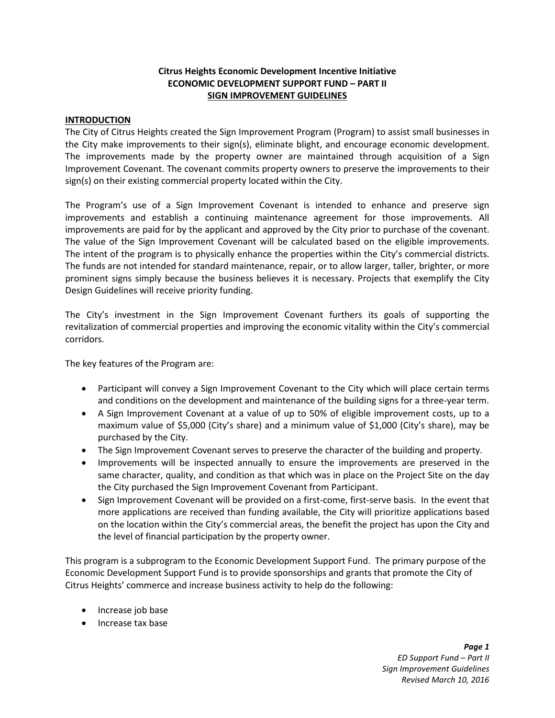# **Citrus Heights Economic Development Incentive Initiative ECONOMIC DEVELOPMENT SUPPORT FUND – PART II SIGN IMPROVEMENT GUIDELINES**

### **INTRODUCTION**

The City of Citrus Heights created the Sign Improvement Program (Program) to assist small businesses in the City make improvements to their sign(s), eliminate blight, and encourage economic development. The improvements made by the property owner are maintained through acquisition of a Sign Improvement Covenant. The covenant commits property owners to preserve the improvements to their sign(s) on their existing commercial property located within the City.

The Program's use of a Sign Improvement Covenant is intended to enhance and preserve sign improvements and establish a continuing maintenance agreement for those improvements. All improvements are paid for by the applicant and approved by the City prior to purchase of the covenant. The value of the Sign Improvement Covenant will be calculated based on the eligible improvements. The intent of the program is to physically enhance the properties within the City's commercial districts. The funds are not intended for standard maintenance, repair, or to allow larger, taller, brighter, or more prominent signs simply because the business believes it is necessary. Projects that exemplify the City Design Guidelines will receive priority funding.

The City's investment in the Sign Improvement Covenant furthers its goals of supporting the revitalization of commercial properties and improving the economic vitality within the City's commercial corridors.

The key features of the Program are:

- Participant will convey a Sign Improvement Covenant to the City which will place certain terms and conditions on the development and maintenance of the building signs for a three-year term.
- A Sign Improvement Covenant at a value of up to 50% of eligible improvement costs, up to a maximum value of \$5,000 (City's share) and a minimum value of \$1,000 (City's share), may be purchased by the City.
- The Sign Improvement Covenant serves to preserve the character of the building and property.
- Improvements will be inspected annually to ensure the improvements are preserved in the same character, quality, and condition as that which was in place on the Project Site on the day the City purchased the Sign Improvement Covenant from Participant.
- Sign Improvement Covenant will be provided on a first-come, first-serve basis. In the event that more applications are received than funding available, the City will prioritize applications based on the location within the City's commercial areas, the benefit the project has upon the City and the level of financial participation by the property owner.

This program is a subprogram to the Economic Development Support Fund. The primary purpose of the Economic Development Support Fund is to provide sponsorships and grants that promote the City of Citrus Heights' commerce and increase business activity to help do the following:

- Increase job base
- Increase tax base

*Page 1 ED Support Fund – Part II Sign Improvement Guidelines Revised March 10, 2016*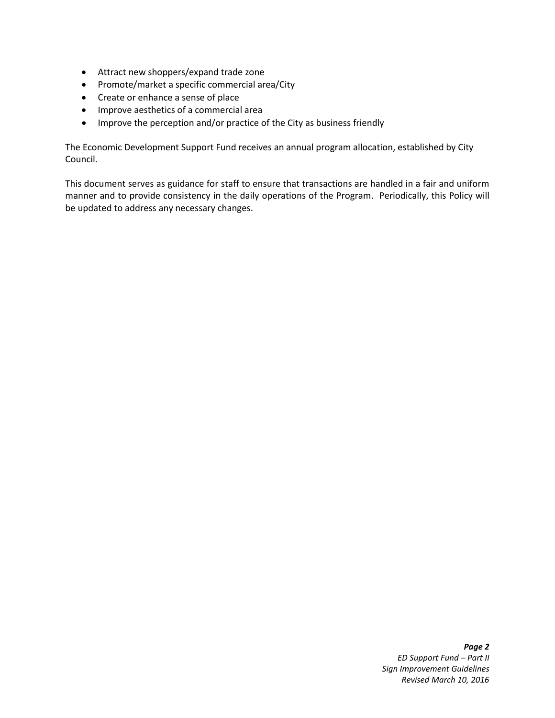- Attract new shoppers/expand trade zone
- Promote/market a specific commercial area/City
- Create or enhance a sense of place
- Improve aesthetics of a commercial area
- Improve the perception and/or practice of the City as business friendly

The Economic Development Support Fund receives an annual program allocation, established by City Council.

This document serves as guidance for staff to ensure that transactions are handled in a fair and uniform manner and to provide consistency in the daily operations of the Program. Periodically, this Policy will be updated to address any necessary changes.

#### *Page 2 ED Support Fund – Part II Sign Improvement Guidelines Revised March 10, 2016*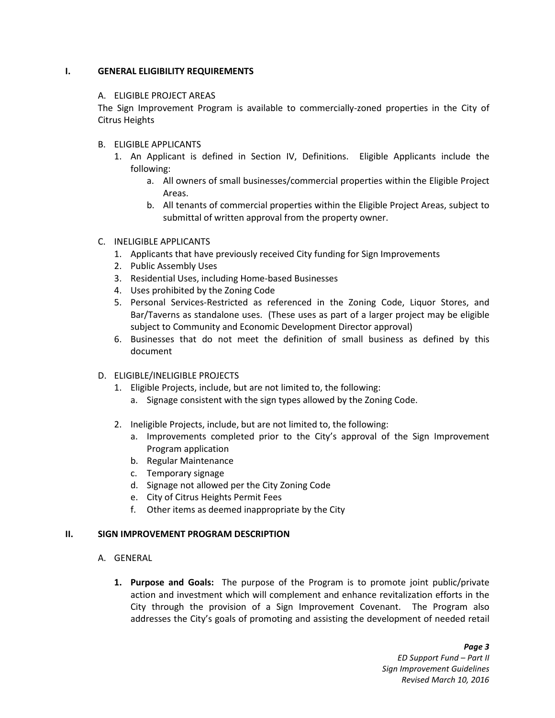### **I. GENERAL ELIGIBILITY REQUIREMENTS**

#### A. ELIGIBLE PROJECT AREAS

The Sign Improvement Program is available to commercially-zoned properties in the City of Citrus Heights

### B. ELIGIBLE APPLICANTS

- 1. An Applicant is defined in Section IV, Definitions. Eligible Applicants include the following:
	- a. All owners of small businesses/commercial properties within the Eligible Project Areas.
	- b. All tenants of commercial properties within the Eligible Project Areas, subject to submittal of written approval from the property owner.

### C. INELIGIBLE APPLICANTS

- 1. Applicants that have previously received City funding for Sign Improvements
- 2. Public Assembly Uses
- 3. Residential Uses, including Home-based Businesses
- 4. Uses prohibited by the Zoning Code
- 5. Personal Services-Restricted as referenced in the Zoning Code, Liquor Stores, and Bar/Taverns as standalone uses. (These uses as part of a larger project may be eligible subject to Community and Economic Development Director approval)
- 6. Businesses that do not meet the definition of small business as defined by this document
- D. ELIGIBLE/INELIGIBLE PROJECTS
	- 1. Eligible Projects, include, but are not limited to, the following:
		- a. Signage consistent with the sign types allowed by the Zoning Code.
	- 2. Ineligible Projects, include, but are not limited to, the following:
		- a. Improvements completed prior to the City's approval of the Sign Improvement Program application
		- b. Regular Maintenance
		- c. Temporary signage
		- d. Signage not allowed per the City Zoning Code
		- e. City of Citrus Heights Permit Fees
		- f. Other items as deemed inappropriate by the City

### **II. SIGN IMPROVEMENT PROGRAM DESCRIPTION**

- A. GENERAL
	- **1. Purpose and Goals:** The purpose of the Program is to promote joint public/private action and investment which will complement and enhance revitalization efforts in the City through the provision of a Sign Improvement Covenant. The Program also addresses the City's goals of promoting and assisting the development of needed retail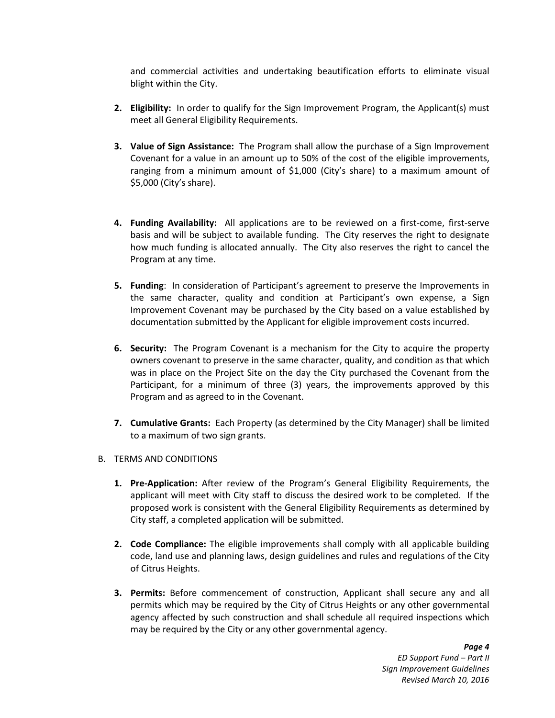and commercial activities and undertaking beautification efforts to eliminate visual blight within the City.

- **2. Eligibility:** In order to qualify for the Sign Improvement Program, the Applicant(s) must meet all General Eligibility Requirements.
- **3. Value of Sign Assistance:** The Program shall allow the purchase of a Sign Improvement Covenant for a value in an amount up to 50% of the cost of the eligible improvements, ranging from a minimum amount of \$1,000 (City's share) to a maximum amount of \$5,000 (City's share).
- **4. Funding Availability:** All applications are to be reviewed on a first-come, first-serve basis and will be subject to available funding. The City reserves the right to designate how much funding is allocated annually. The City also reserves the right to cancel the Program at any time.
- **5. Funding**: In consideration of Participant's agreement to preserve the Improvements in the same character, quality and condition at Participant's own expense, a Sign Improvement Covenant may be purchased by the City based on a value established by documentation submitted by the Applicant for eligible improvement costs incurred.
- **6. Security:** The Program Covenant is a mechanism for the City to acquire the property owners covenant to preserve in the same character, quality, and condition as that which was in place on the Project Site on the day the City purchased the Covenant from the Participant, for a minimum of three (3) years, the improvements approved by this Program and as agreed to in the Covenant.
- **7. Cumulative Grants:** Each Property (as determined by the City Manager) shall be limited to a maximum of two sign grants.
- B. TERMS AND CONDITIONS
	- **1. Pre-Application:** After review of the Program's General Eligibility Requirements, the applicant will meet with City staff to discuss the desired work to be completed. If the proposed work is consistent with the General Eligibility Requirements as determined by City staff, a completed application will be submitted.
	- **2. Code Compliance:** The eligible improvements shall comply with all applicable building code, land use and planning laws, design guidelines and rules and regulations of the City of Citrus Heights.
	- **3. Permits:** Before commencement of construction, Applicant shall secure any and all permits which may be required by the City of Citrus Heights or any other governmental agency affected by such construction and shall schedule all required inspections which may be required by the City or any other governmental agency.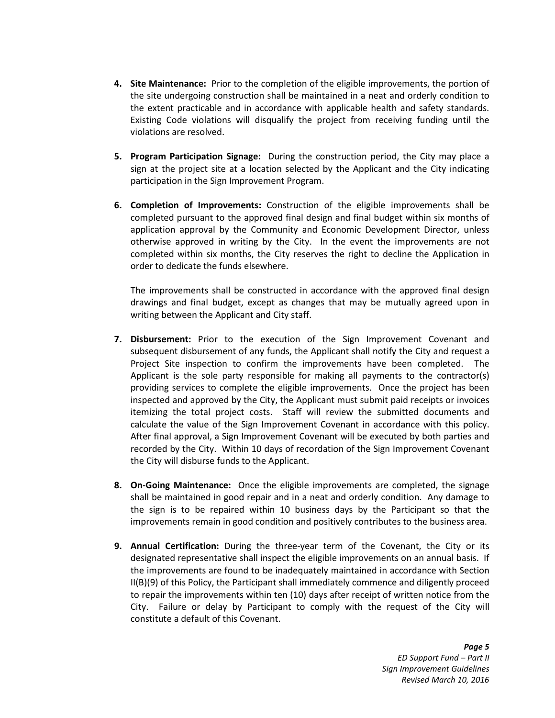- **4. Site Maintenance:** Prior to the completion of the eligible improvements, the portion of the site undergoing construction shall be maintained in a neat and orderly condition to the extent practicable and in accordance with applicable health and safety standards. Existing Code violations will disqualify the project from receiving funding until the violations are resolved.
- **5. Program Participation Signage:** During the construction period, the City may place a sign at the project site at a location selected by the Applicant and the City indicating participation in the Sign Improvement Program.
- **6. Completion of Improvements:** Construction of the eligible improvements shall be completed pursuant to the approved final design and final budget within six months of application approval by the Community and Economic Development Director, unless otherwise approved in writing by the City. In the event the improvements are not completed within six months, the City reserves the right to decline the Application in order to dedicate the funds elsewhere.

The improvements shall be constructed in accordance with the approved final design drawings and final budget, except as changes that may be mutually agreed upon in writing between the Applicant and City staff.

- **7. Disbursement:** Prior to the execution of the Sign Improvement Covenant and subsequent disbursement of any funds, the Applicant shall notify the City and request a Project Site inspection to confirm the improvements have been completed. The Applicant is the sole party responsible for making all payments to the contractor(s) providing services to complete the eligible improvements. Once the project has been inspected and approved by the City, the Applicant must submit paid receipts or invoices itemizing the total project costs. Staff will review the submitted documents and calculate the value of the Sign Improvement Covenant in accordance with this policy. After final approval, a Sign Improvement Covenant will be executed by both parties and recorded by the City. Within 10 days of recordation of the Sign Improvement Covenant the City will disburse funds to the Applicant.
- **8. On-Going Maintenance:** Once the eligible improvements are completed, the signage shall be maintained in good repair and in a neat and orderly condition. Any damage to the sign is to be repaired within 10 business days by the Participant so that the improvements remain in good condition and positively contributes to the business area.
- **9. Annual Certification:** During the three-year term of the Covenant, the City or its designated representative shall inspect the eligible improvements on an annual basis. If the improvements are found to be inadequately maintained in accordance with Section II(B)(9) of this Policy, the Participant shall immediately commence and diligently proceed to repair the improvements within ten (10) days after receipt of written notice from the City. Failure or delay by Participant to comply with the request of the City will constitute a default of this Covenant.

*Page 5 ED Support Fund – Part II Sign Improvement Guidelines Revised March 10, 2016*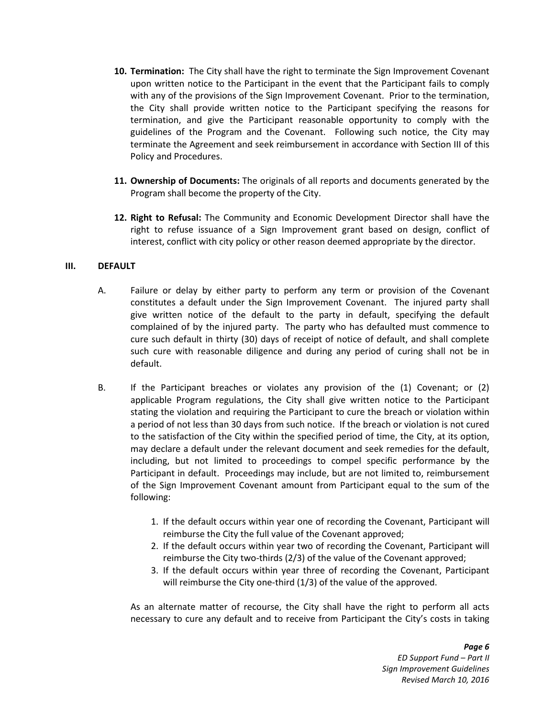- **10. Termination:** The City shall have the right to terminate the Sign Improvement Covenant upon written notice to the Participant in the event that the Participant fails to comply with any of the provisions of the Sign Improvement Covenant. Prior to the termination, the City shall provide written notice to the Participant specifying the reasons for termination, and give the Participant reasonable opportunity to comply with the guidelines of the Program and the Covenant. Following such notice, the City may terminate the Agreement and seek reimbursement in accordance with Section III of this Policy and Procedures.
- **11. Ownership of Documents:** The originals of all reports and documents generated by the Program shall become the property of the City.
- **12. Right to Refusal:** The Community and Economic Development Director shall have the right to refuse issuance of a Sign Improvement grant based on design, conflict of interest, conflict with city policy or other reason deemed appropriate by the director.

### **III. DEFAULT**

- A. Failure or delay by either party to perform any term or provision of the Covenant constitutes a default under the Sign Improvement Covenant. The injured party shall give written notice of the default to the party in default, specifying the default complained of by the injured party. The party who has defaulted must commence to cure such default in thirty (30) days of receipt of notice of default, and shall complete such cure with reasonable diligence and during any period of curing shall not be in default.
- B. If the Participant breaches or violates any provision of the (1) Covenant; or (2) applicable Program regulations, the City shall give written notice to the Participant stating the violation and requiring the Participant to cure the breach or violation within a period of not less than 30 days from such notice. If the breach or violation is not cured to the satisfaction of the City within the specified period of time, the City, at its option, may declare a default under the relevant document and seek remedies for the default, including, but not limited to proceedings to compel specific performance by the Participant in default. Proceedings may include, but are not limited to, reimbursement of the Sign Improvement Covenant amount from Participant equal to the sum of the following:
	- 1. If the default occurs within year one of recording the Covenant, Participant will reimburse the City the full value of the Covenant approved;
	- 2. If the default occurs within year two of recording the Covenant, Participant will reimburse the City two-thirds (2/3) of the value of the Covenant approved;
	- 3. If the default occurs within year three of recording the Covenant, Participant will reimburse the City one-third (1/3) of the value of the approved.

As an alternate matter of recourse, the City shall have the right to perform all acts necessary to cure any default and to receive from Participant the City's costs in taking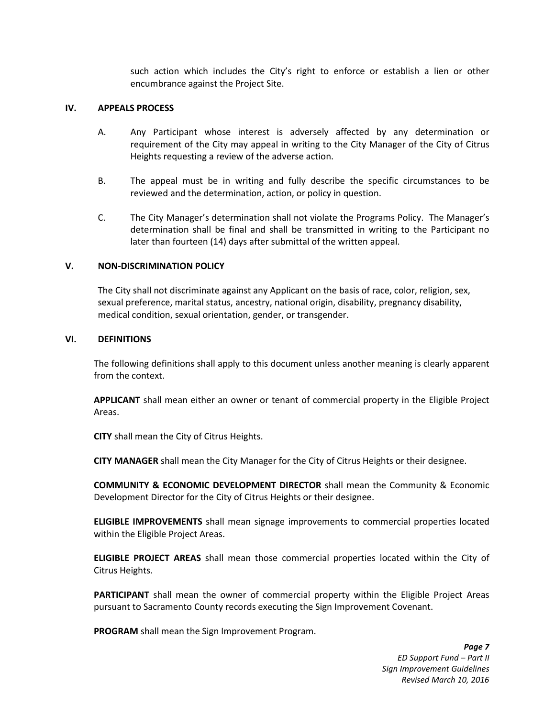such action which includes the City's right to enforce or establish a lien or other encumbrance against the Project Site.

#### **IV. APPEALS PROCESS**

- A. Any Participant whose interest is adversely affected by any determination or requirement of the City may appeal in writing to the City Manager of the City of Citrus Heights requesting a review of the adverse action.
- B. The appeal must be in writing and fully describe the specific circumstances to be reviewed and the determination, action, or policy in question.
- C. The City Manager's determination shall not violate the Programs Policy. The Manager's determination shall be final and shall be transmitted in writing to the Participant no later than fourteen (14) days after submittal of the written appeal.

#### **V. NON-DISCRIMINATION POLICY**

The City shall not discriminate against any Applicant on the basis of race, color, religion, sex, sexual preference, marital status, ancestry, national origin, disability, pregnancy disability, medical condition, sexual orientation, gender, or transgender.

#### **VI. DEFINITIONS**

The following definitions shall apply to this document unless another meaning is clearly apparent from the context.

**APPLICANT** shall mean either an owner or tenant of commercial property in the Eligible Project Areas.

**CITY** shall mean the City of Citrus Heights.

**CITY MANAGER** shall mean the City Manager for the City of Citrus Heights or their designee.

**COMMUNITY & ECONOMIC DEVELOPMENT DIRECTOR** shall mean the Community & Economic Development Director for the City of Citrus Heights or their designee.

**ELIGIBLE IMPROVEMENTS** shall mean signage improvements to commercial properties located within the Eligible Project Areas.

**ELIGIBLE PROJECT AREAS** shall mean those commercial properties located within the City of Citrus Heights.

**PARTICIPANT** shall mean the owner of commercial property within the Eligible Project Areas pursuant to Sacramento County records executing the Sign Improvement Covenant.

**PROGRAM** shall mean the Sign Improvement Program.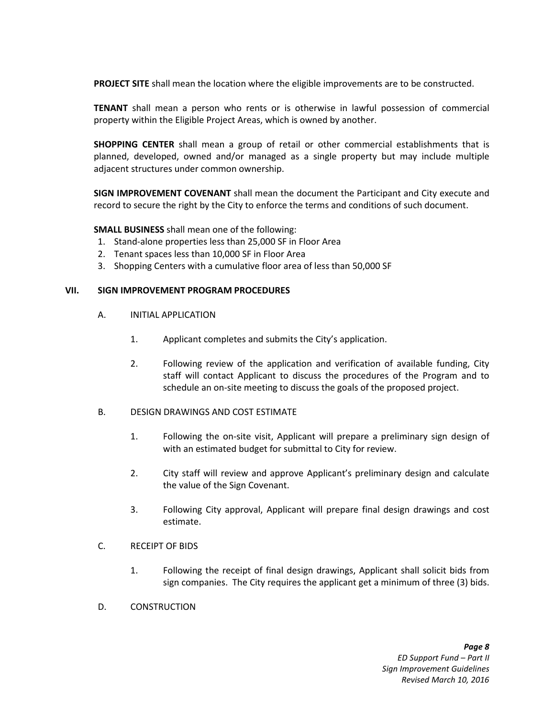**PROJECT SITE** shall mean the location where the eligible improvements are to be constructed.

**TENANT** shall mean a person who rents or is otherwise in lawful possession of commercial property within the Eligible Project Areas, which is owned by another.

**SHOPPING CENTER** shall mean a group of retail or other commercial establishments that is planned, developed, owned and/or managed as a single property but may include multiple adjacent structures under common ownership.

**SIGN IMPROVEMENT COVENANT** shall mean the document the Participant and City execute and record to secure the right by the City to enforce the terms and conditions of such document.

**SMALL BUSINESS** shall mean one of the following:

- 1. Stand-alone properties less than 25,000 SF in Floor Area
- 2. Tenant spaces less than 10,000 SF in Floor Area
- 3. Shopping Centers with a cumulative floor area of less than 50,000 SF

#### **VII. SIGN IMPROVEMENT PROGRAM PROCEDURES**

- A. INITIAL APPLICATION
	- 1. Applicant completes and submits the City's application.
	- 2. Following review of the application and verification of available funding, City staff will contact Applicant to discuss the procedures of the Program and to schedule an on-site meeting to discuss the goals of the proposed project.
- B. DESIGN DRAWINGS AND COST ESTIMATE
	- 1. Following the on-site visit, Applicant will prepare a preliminary sign design of with an estimated budget for submittal to City for review.
	- 2. City staff will review and approve Applicant's preliminary design and calculate the value of the Sign Covenant.
	- 3. Following City approval, Applicant will prepare final design drawings and cost estimate.
- C. RECEIPT OF BIDS
	- 1. Following the receipt of final design drawings, Applicant shall solicit bids from sign companies. The City requires the applicant get a minimum of three (3) bids.
- D. CONSTRUCTION